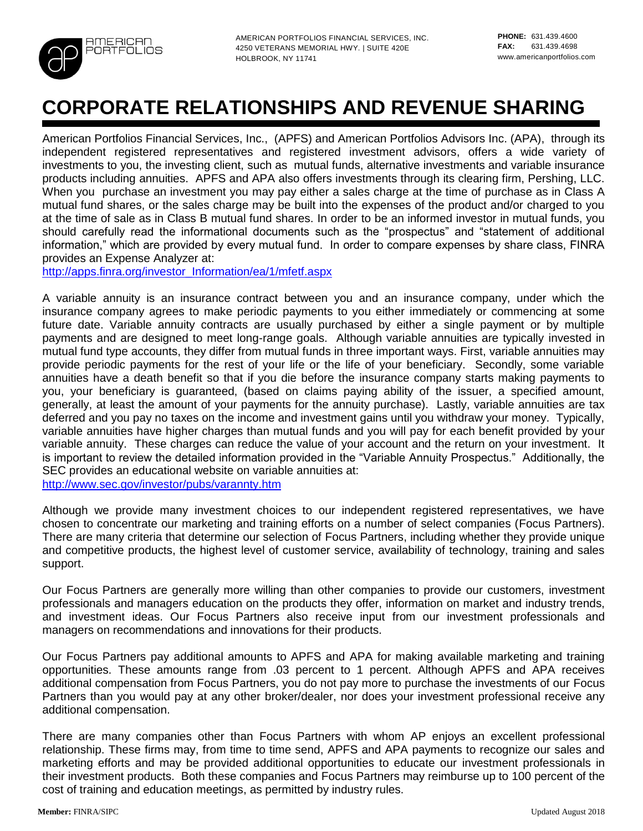

AMERICAN PORTFOLIOS FINANCIAL SERVICES, INC. 4250 VETERANS MEMORIAL HWY. | SUITE 420E HOLBROOK, NY 11741

# **CORPORATE RELATIONSHIPS AND REVENUE SHARING**

American Portfolios Financial Services, Inc., (APFS) and American Portfolios Advisors Inc. (APA), through its independent registered representatives and registered investment advisors, offers a wide variety of investments to you, the investing client, such as mutual funds, alternative investments and variable insurance products including annuities. APFS and APA also offers investments through its clearing firm, Pershing, LLC. When you purchase an investment you may pay either a sales charge at the time of purchase as in Class A mutual fund shares, or the sales charge may be built into the expenses of the product and/or charged to you at the time of sale as in Class B mutual fund shares. In order to be an informed investor in mutual funds, you should carefully read the informational documents such as the "prospectus" and "statement of additional information," which are provided by every mutual fund. In order to compare expenses by share class, FINRA provides an Expense Analyzer at:

[http://apps.finra.org/investor\\_Information/ea/1/mfetf.aspx](http://apps.finra.org/investor_Information/ea/1/mfetf.aspx)

A variable annuity is an insurance contract between you and an insurance company, under which the insurance company agrees to make periodic payments to you either immediately or commencing at some future date. Variable annuity contracts are usually purchased by either a single payment or by multiple payments and are designed to meet long-range goals. Although variable annuities are typically invested in mutual fund type accounts, they differ from mutual funds in three important ways. First, variable annuities may provide periodic payments for the rest of your life or the life of your beneficiary. Secondly, some variable annuities have a death benefit so that if you die before the insurance company starts making payments to you, your beneficiary is guaranteed, (based on claims paying ability of the issuer, a specified amount, generally, at least the amount of your payments for the annuity purchase). Lastly, variable annuities are tax deferred and you pay no taxes on the income and investment gains until you withdraw your money. Typically, variable annuities have higher charges than mutual funds and you will pay for each benefit provided by your variable annuity. These charges can reduce the value of your account and the return on your investment. It is important to review the detailed information provided in the "Variable Annuity Prospectus." Additionally, the SEC provides an educational website on variable annuities at: <http://www.sec.gov/investor/pubs/varannty.htm>

Although we provide many investment choices to our independent registered representatives, we have chosen to concentrate our marketing and training efforts on a number of select companies (Focus Partners). There are many criteria that determine our selection of Focus Partners, including whether they provide unique and competitive products, the highest level of customer service, availability of technology, training and sales support.

Our Focus Partners are generally more willing than other companies to provide our customers, investment professionals and managers education on the products they offer, information on market and industry trends, and investment ideas. Our Focus Partners also receive input from our investment professionals and managers on recommendations and innovations for their products.

Our Focus Partners pay additional amounts to APFS and APA for making available marketing and training opportunities. These amounts range from .03 percent to 1 percent. Although APFS and APA receives additional compensation from Focus Partners, you do not pay more to purchase the investments of our Focus Partners than you would pay at any other broker/dealer, nor does your investment professional receive any additional compensation.

There are many companies other than Focus Partners with whom AP enjoys an excellent professional relationship. These firms may, from time to time send, APFS and APA payments to recognize our sales and marketing efforts and may be provided additional opportunities to educate our investment professionals in their investment products. Both these companies and Focus Partners may reimburse up to 100 percent of the cost of training and education meetings, as permitted by industry rules.